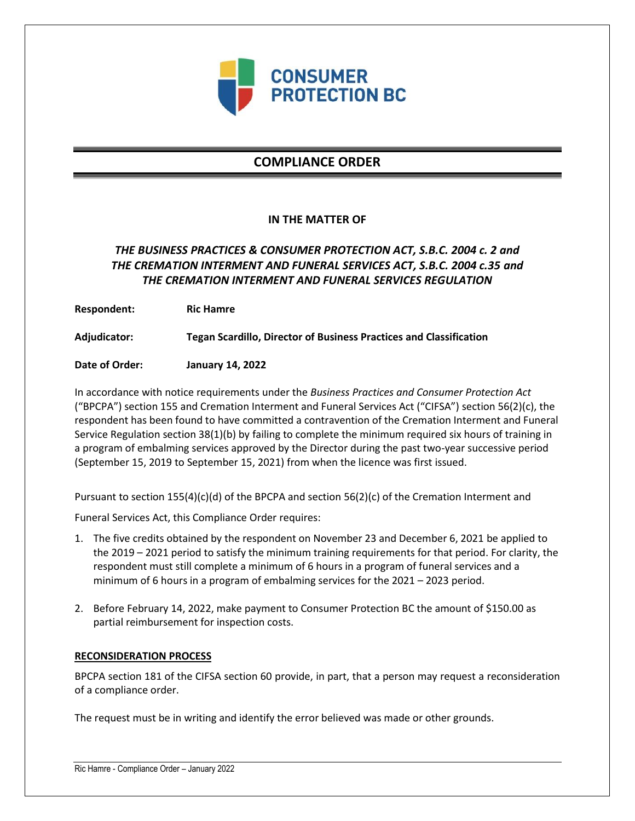

# **COMPLIANCE ORDER**

### **IN THE MATTER OF**

## *THE BUSINESS PRACTICES & CONSUMER PROTECTION ACT, S.B.C. 2004 c. 2 and THE CREMATION INTERMENT AND FUNERAL SERVICES ACT, S.B.C. 2004 c.35 and THE CREMATION INTERMENT AND FUNERAL SERVICES REGULATION*

**Respondent: Ric Hamre**

**Adjudicator: Tegan Scardillo, Director of Business Practices and Classification**

**Date of Order: January 14, 2022**

In accordance with notice requirements under the *Business Practices and Consumer Protection Act* ("BPCPA") section 155 and Cremation Interment and Funeral Services Act ("CIFSA") section 56(2)(c), the respondent has been found to have committed a contravention of the Cremation Interment and Funeral Service Regulation section 38(1)(b) by failing to complete the minimum required six hours of training in a program of embalming services approved by the Director during the past two-year successive period (September 15, 2019 to September 15, 2021) from when the licence was first issued.

Pursuant to section 155(4)(c)(d) of the BPCPA and section 56(2)(c) of the Cremation Interment and

Funeral Services Act, this Compliance Order requires:

- 1. The five credits obtained by the respondent on November 23 and December 6, 2021 be applied to the 2019 – 2021 period to satisfy the minimum training requirements for that period. For clarity, the respondent must still complete a minimum of 6 hours in a program of funeral services and a minimum of 6 hours in a program of embalming services for the 2021 – 2023 period.
- 2. Before February 14, 2022, make payment to Consumer Protection BC the amount of \$150.00 as partial reimbursement for inspection costs.

### **RECONSIDERATION PROCESS**

BPCPA section 181 of the CIFSA section 60 provide, in part, that a person may request a reconsideration of a compliance order.

The request must be in writing and identify the error believed was made or other grounds.